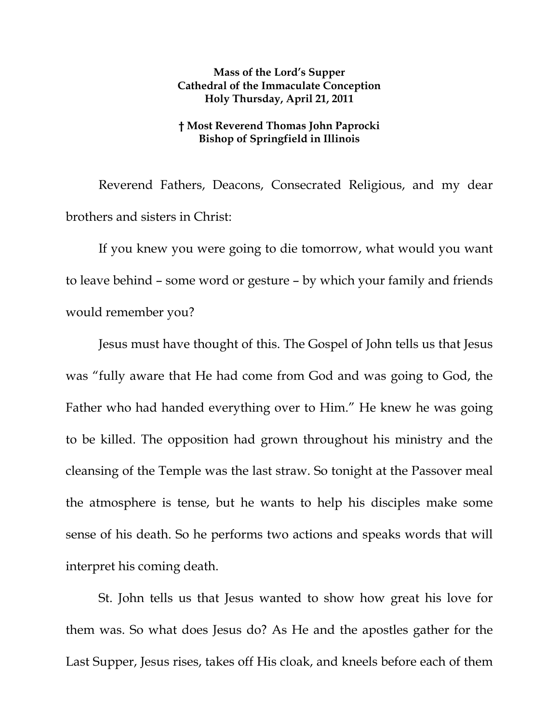## **Mass of the Lord's Supper Cathedral of the Immaculate Conception Holy Thursday, April 21, 2011**

## **† Most Reverend Thomas John Paprocki Bishop of Springfield in Illinois**

Reverend Fathers, Deacons, Consecrated Religious, and my dear brothers and sisters in Christ:

 If you knew you were going to die tomorrow, what would you want to leave behind – some word or gesture – by which your family and friends would remember you?

Jesus must have thought of this. The Gospel of John tells us that Jesus was "fully aware that He had come from God and was going to God, the Father who had handed everything over to Him." He knew he was going to be killed. The opposition had grown throughout his ministry and the cleansing of the Temple was the last straw. So tonight at the Passover meal the atmosphere is tense, but he wants to help his disciples make some sense of his death. So he performs two actions and speaks words that will interpret his coming death.

St. John tells us that Jesus wanted to show how great his love for them was. So what does Jesus do? As He and the apostles gather for the Last Supper, Jesus rises, takes off His cloak, and kneels before each of them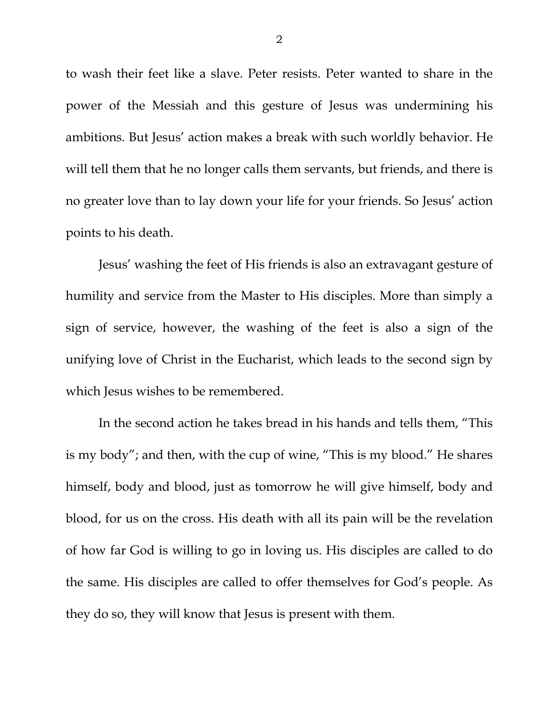to wash their feet like a slave. Peter resists. Peter wanted to share in the power of the Messiah and this gesture of Jesus was undermining his ambitions. But Jesus' action makes a break with such worldly behavior. He will tell them that he no longer calls them servants, but friends, and there is no greater love than to lay down your life for your friends. So Jesus' action points to his death.

Jesus' washing the feet of His friends is also an extravagant gesture of humility and service from the Master to His disciples. More than simply a sign of service, however, the washing of the feet is also a sign of the unifying love of Christ in the Eucharist, which leads to the second sign by which Jesus wishes to be remembered.

In the second action he takes bread in his hands and tells them, "This is my body"; and then, with the cup of wine, "This is my blood." He shares himself, body and blood, just as tomorrow he will give himself, body and blood, for us on the cross. His death with all its pain will be the revelation of how far God is willing to go in loving us. His disciples are called to do the same. His disciples are called to offer themselves for God's people. As they do so, they will know that Jesus is present with them.

2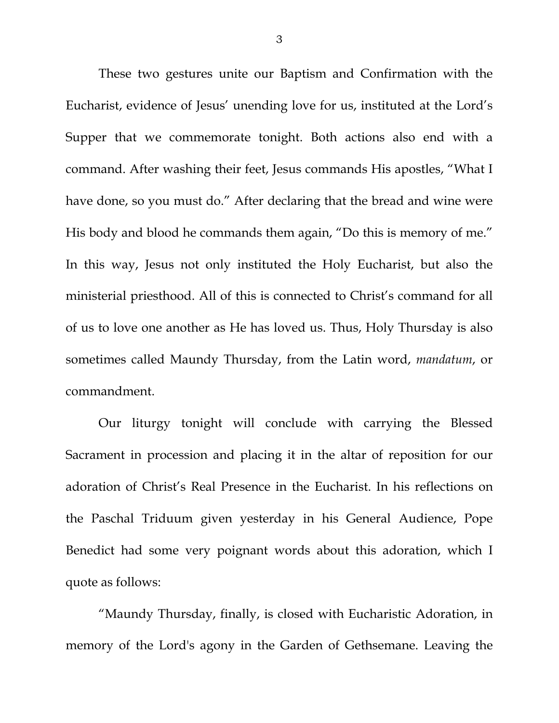These two gestures unite our Baptism and Confirmation with the Eucharist, evidence of Jesus' unending love for us, instituted at the Lord's Supper that we commemorate tonight. Both actions also end with a command. After washing their feet, Jesus commands His apostles, "What I have done, so you must do." After declaring that the bread and wine were His body and blood he commands them again, "Do this is memory of me." In this way, Jesus not only instituted the Holy Eucharist, but also the ministerial priesthood. All of this is connected to Christ's command for all of us to love one another as He has loved us. Thus, Holy Thursday is also sometimes called Maundy Thursday, from the Latin word, *mandatum*, or commandment.

 Our liturgy tonight will conclude with carrying the Blessed Sacrament in procession and placing it in the altar of reposition for our adoration of Christ's Real Presence in the Eucharist. In his reflections on the Paschal Triduum given yesterday in his General Audience, Pope Benedict had some very poignant words about this adoration, which I quote as follows:

 "Maundy Thursday, finally, is closed with Eucharistic Adoration, in memory of the Lord's agony in the Garden of Gethsemane. Leaving the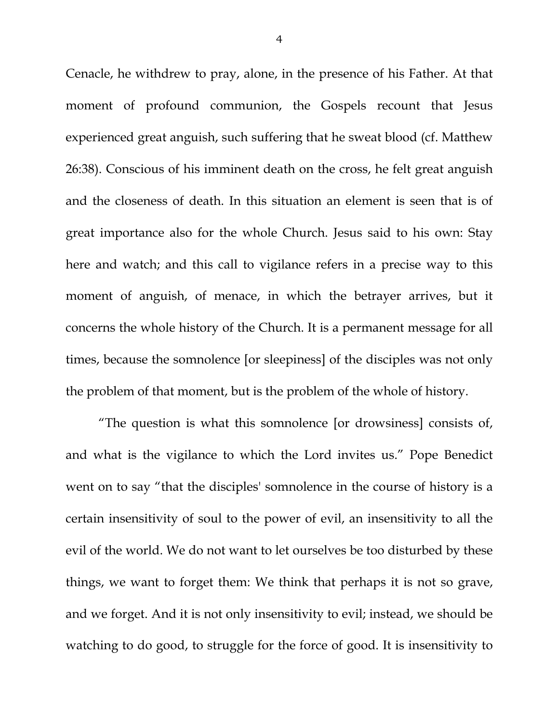Cenacle, he withdrew to pray, alone, in the presence of his Father. At that moment of profound communion, the Gospels recount that Jesus experienced great anguish, such suffering that he sweat blood (cf. Matthew 26:38). Conscious of his imminent death on the cross, he felt great anguish and the closeness of death. In this situation an element is seen that is of great importance also for the whole Church. Jesus said to his own: Stay here and watch; and this call to vigilance refers in a precise way to this moment of anguish, of menace, in which the betrayer arrives, but it concerns the whole history of the Church. It is a permanent message for all times, because the somnolence [or sleepiness] of the disciples was not only the problem of that moment, but is the problem of the whole of history.

"The question is what this somnolence [or drowsiness] consists of, and what is the vigilance to which the Lord invites us." Pope Benedict went on to say "that the disciples' somnolence in the course of history is a certain insensitivity of soul to the power of evil, an insensitivity to all the evil of the world. We do not want to let ourselves be too disturbed by these things, we want to forget them: We think that perhaps it is not so grave, and we forget. And it is not only insensitivity to evil; instead, we should be watching to do good, to struggle for the force of good. It is insensitivity to